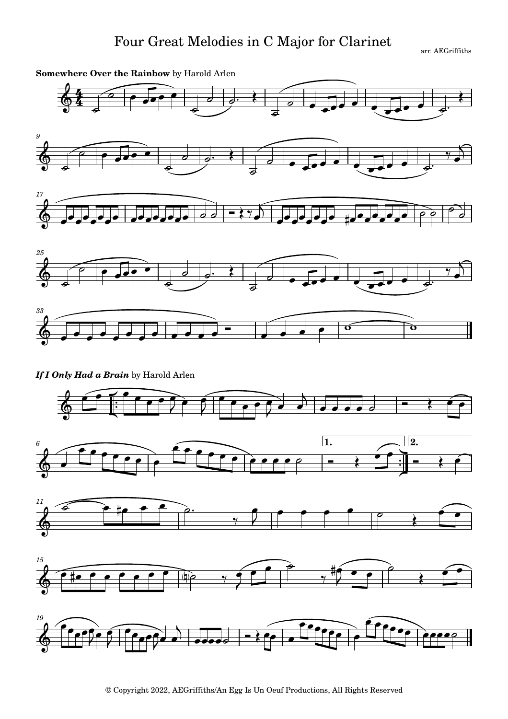## Four Great Melodies in C Major for Clarinet

arr. AEGriffiths



<sup>©</sup> Copyright 2022, AEGriffiths/An Egg Is Un Oeuf Productions, All Rights Reserved